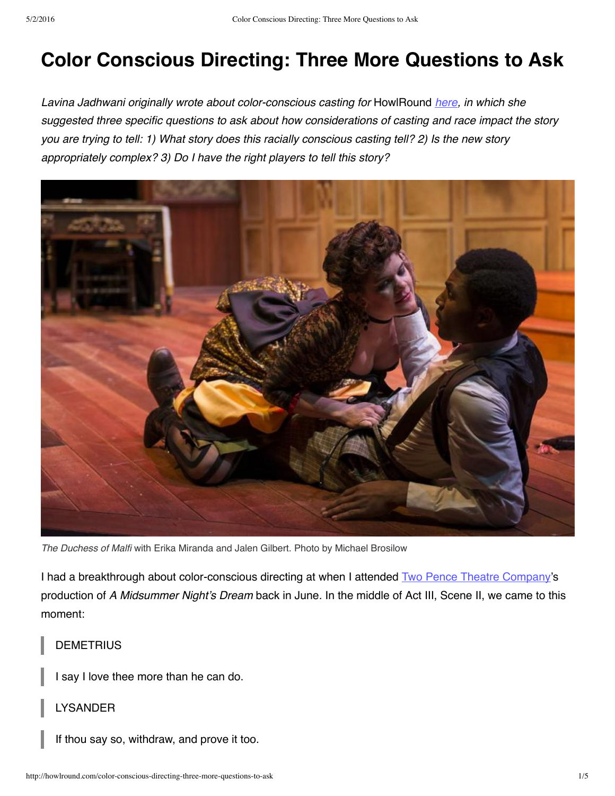# **Color Conscious Directing: Three More Questions to Ask**

*Lavina Jadhwani originally wrote about color-conscious casting for* HowlRound *[here](http://howlround.com/color-conscious-casting-three-questions-to-ask), in which she suggested three specific questions to ask about how considerations of casting and race impact the story* you are trying to tell: 1) What story does this racially conscious casting tell? 2) Is the new story *appropriately complex? 3) Do I have the right players to tell this story?*



*The Duchess of Malfi* with Erika Miranda and Jalen Gilbert. Photo by Michael Brosilow

I had a breakthrough about color-conscious directing at when I attended Two Pence Theatre [Company](http://www.twopencetheatre.org/)'s production of *A Midsummer Night's Dream* back in June*.* In the middle of Act III, Scene II, we came to this moment:

## **DEMETRIUS**

I say I love thee more than he can do.

### LYSANDER

If thou say so, withdraw, and prove it too.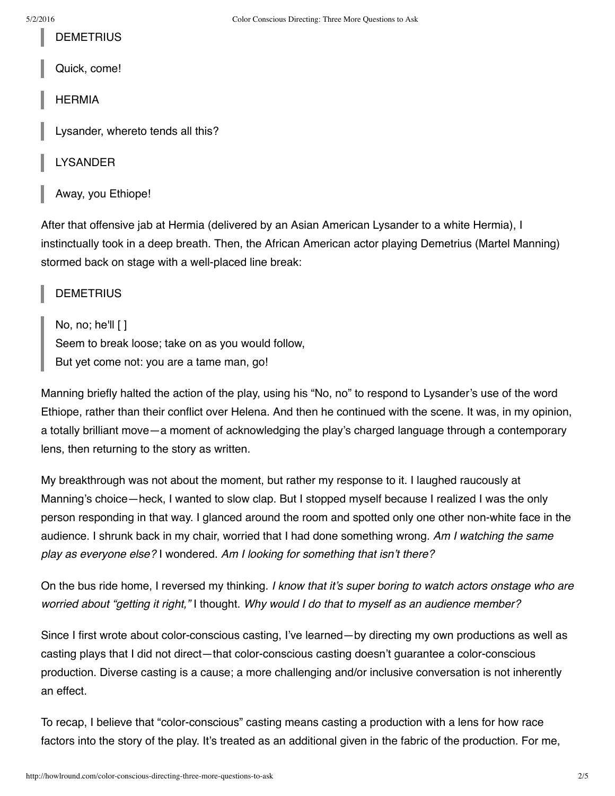**DEMETRIUS** 

Quick, come!

HERMIA

Lysander, whereto tends all this?

LYSANDER

Away, you Ethiope!

After that offensive jab at Hermia (delivered by an Asian American Lysander to a white Hermia), I instinctually took in a deep breath. Then, the African American actor playing Demetrius (Martel Manning) stormed back on stage with a well-placed line break:

**DEMETRIUS** 

No, no; he'll  $\lceil \cdot \rceil$ Seem to break loose; take on as you would follow, But yet come not: you are a tame man, go!

Manning briefly halted the action of the play, using his "No, no" to respond to Lysander's use of the word Ethiope, rather than their conflict over Helena. And then he continued with the scene. It was, in my opinion, a totally brilliant move—a moment of acknowledging the play's charged language through a contemporary lens, then returning to the story as written.

My breakthrough was not about the moment, but rather my response to it. I laughed raucously at Manning's choice—heck, I wanted to slow clap. But I stopped myself because I realized I was the only person responding in that way. I glanced around the room and spotted only one other non-white face in the audience. I shrunk back in my chair, worried that I had done something wrong. *Am I watching the same play as everyone else?* I wondered. *Am I looking for something that isn't there?*

On the bus ride home, I reversed my thinking. *I know that it's super boring to watch actors onstage who are worried about "getting it right,"* I thought. *Why would I do that to myself as an audience member?*

Since I first wrote about color-conscious casting, I've learned—by directing my own productions as well as casting plays that I did not direct—that color-conscious casting doesn't guarantee a color-conscious production. Diverse casting is a cause; a more challenging and/or inclusive conversation is not inherently an effect.

To recap, I believe that "color-conscious" casting means casting a production with a lens for how race factors into the story of the play. It's treated as an additional given in the fabric of the production. For me,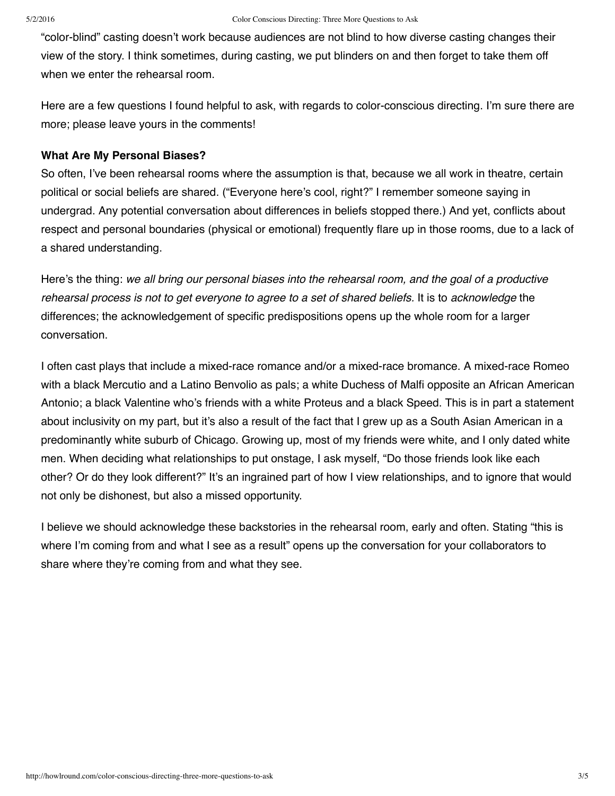"color-blind" casting doesn't work because audiences are not blind to how diverse casting changes their view of the story. I think sometimes, during casting, we put blinders on and then forget to take them off when we enter the rehearsal room.

Here are a few questions I found helpful to ask, with regards to color-conscious directing. I'm sure there are more; please leave yours in the comments!

#### **What Are My Personal Biases?**

So often, I've been rehearsal rooms where the assumption is that, because we all work in theatre, certain political or social beliefs are shared. ("Everyone here's cool, right?" I remember someone saying in undergrad. Any potential conversation about differences in beliefs stopped there.) And yet, conflicts about respect and personal boundaries (physical or emotional) frequently flare up in those rooms, due to a lack of a shared understanding.

Here's the thing: *we all bring our personal biases into the rehearsal room, and the goal of a productive rehearsal process is not to get everyone to agree to a set of shared beliefs.* It is to *acknowledge* the differences; the acknowledgement of specific predispositions opens up the whole room for a larger conversation.

I often cast plays that include a mixed-race romance and/or a mixed-race bromance. A mixed-race Romeo with a black Mercutio and a Latino Benvolio as pals; a white Duchess of Malfi opposite an African American Antonio; a black Valentine who's friends with a white Proteus and a black Speed. This is in part a statement about inclusivity on my part, but it's also a result of the fact that I grew up as a South Asian American in a predominantly white suburb of Chicago. Growing up, most of my friends were white, and I only dated white men. When deciding what relationships to put onstage, I ask myself, "Do those friends look like each other? Or do they look different?" It's an ingrained part of how I view relationships, and to ignore that would not only be dishonest, but also a missed opportunity.

I believe we should acknowledge these backstories in the rehearsal room, early and often. Stating "this is where I'm coming from and what I see as a result" opens up the conversation for your collaborators to share where they're coming from and what they see.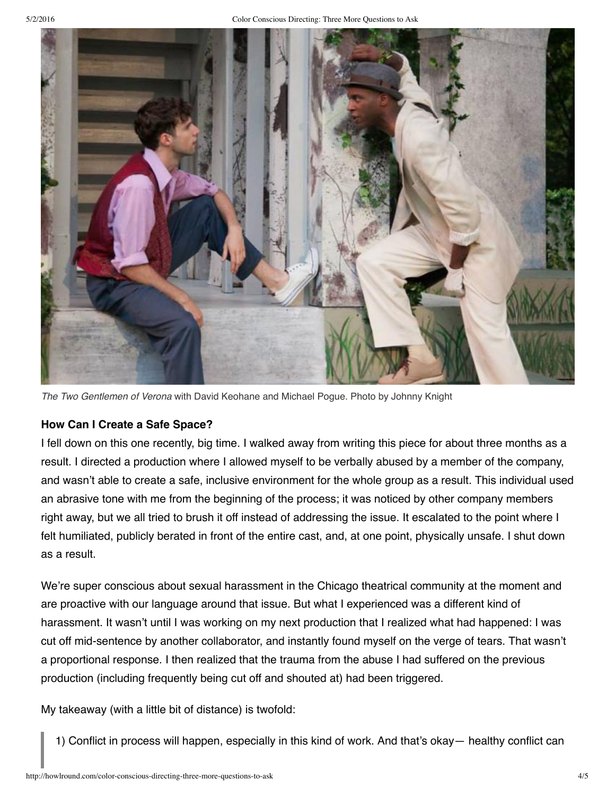

*The Two Gentlemen of Verona* with David Keohane and Michael Pogue. Photo by Johnny Knight

## **How Can I Create a Safe Space?**

I fell down on this one recently, big time. I walked away from writing this piece for about three months as a result. I directed a production where I allowed myself to be verbally abused by a member of the company, and wasn't able to create a safe, inclusive environment for the whole group as a result. This individual used an abrasive tone with me from the beginning of the process; it was noticed by other company members right away, but we all tried to brush it off instead of addressing the issue. It escalated to the point where I felt humiliated, publicly berated in front of the entire cast, and, at one point, physically unsafe. I shut down as a result.

We're super conscious about sexual harassment in the Chicago theatrical community at the moment and are proactive with our language around that issue. But what I experienced was a different kind of harassment. It wasn't until I was working on my next production that I realized what had happened: I was cut off mid-sentence by another collaborator, and instantly found myself on the verge of tears. That wasn't a proportional response. I then realized that the trauma from the abuse I had suffered on the previous production (including frequently being cut off and shouted at) had been triggered.

My takeaway (with a little bit of distance) is twofold:

1) Conflict in process will happen, especially in this kind of work. And that's okay— healthy conflict can